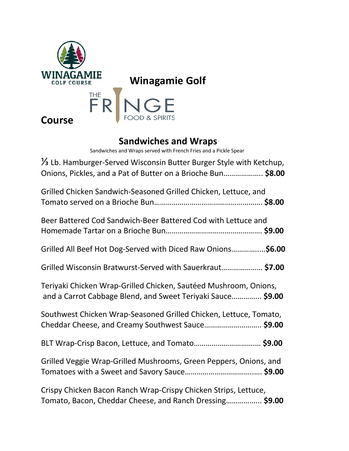



## **Course**

## **Sandwiches and Wraps**

Sandwiches and Wraps served with French Fries and a Pickle Spear

| 1/3 Lb. Hamburger-Served Wisconsin Butter Burger Style with Ketchup,<br>Onions, Pickles, and a Pat of Butter on a Brioche Bun \$8.00 |
|--------------------------------------------------------------------------------------------------------------------------------------|
| Grilled Chicken Sandwich-Seasoned Grilled Chicken, Lettuce, and                                                                      |
| Beer Battered Cod Sandwich-Beer Battered Cod with Lettuce and                                                                        |
| Grilled All Beef Hot Dog-Served with Diced Raw Onions\$6.00                                                                          |
| Grilled Wisconsin Bratwurst-Served with Sauerkraut \$7.00                                                                            |
| Teriyaki Chicken Wrap-Grilled Chicken, Sautéed Mushroom, Onions,<br>and a Carrot Cabbage Blend, and Sweet Teriyaki Sauce \$9.00      |
| Southwest Chicken Wrap-Seasoned Grilled Chicken, Lettuce, Tomato,<br>Cheddar Cheese, and Creamy Southwest Sauce \$9.00               |
|                                                                                                                                      |
| Grilled Veggie Wrap-Grilled Mushrooms, Green Peppers, Onions, and                                                                    |
| Crispy Chicken Bacon Ranch Wrap-Crispy Chicken Strips, Lettuce,<br>Tomato, Bacon, Cheddar Cheese, and Ranch Dressing \$9.00          |